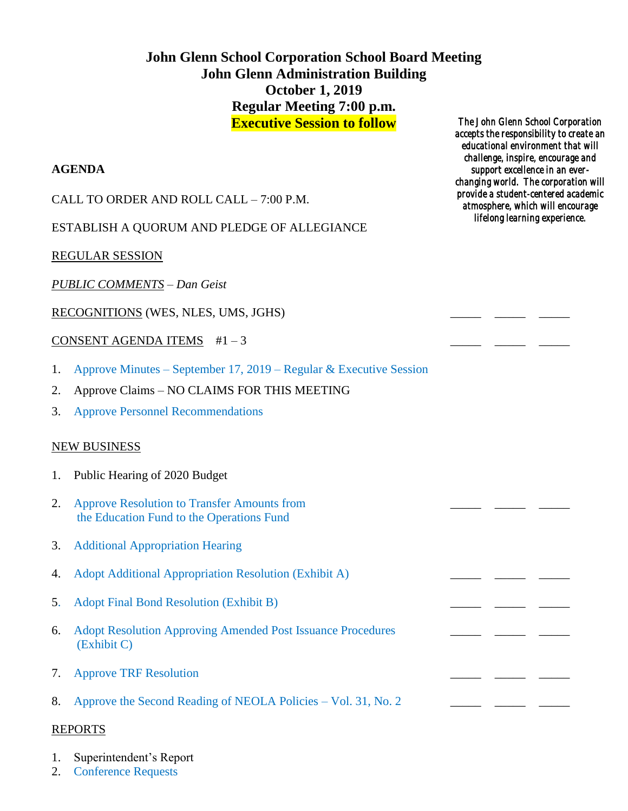# **John Glenn School Corporation School Board Meeting John Glenn Administration Building October 1, 2019 Regular Meeting 7:00 p.m. Executive Session to follow**

### **AGENDA**

CALL TO ORDER AND ROLL CALL – 7:00 P.M.

ESTABLISH A QUORUM AND PLEDGE OF ALLEGIANCE

REGULAR SESSION

*PUBLIC COMMENTS – Dan Geist*

RECOGNITIONS (WES, NLES, UMS, JGHS) \_\_\_\_\_ \_\_\_\_\_ \_\_\_\_\_

CONSENT AGENDA ITEMS  $#1-3$ 

- 1. Approve Minutes September 17, 2019 Regular & Executive Session
- 2. Approve Claims NO CLAIMS FOR THIS MEETING
- 3. Approve Personnel Recommendations

## NEW BUSINESS

- 1. Public Hearing of 2020 Budget
- 2. Approve Resolution to Transfer Amounts from the Education Fund to the Operations Fund
- 3. Additional Appropriation Hearing
- 4. Adopt Additional Appropriation Resolution (Exhibit A)
- 5. Adopt Final Bond Resolution (Exhibit B)
- 6. Adopt Resolution Approving Amended Post Issuance Procedures \_\_\_\_ \_\_\_ \_\_\_\_ \_\_\_ (Exhibit C)
- 7. Approve TRF Resolution
- 8. Approve the Second Reading of NEOLA Policies Vol. 31, No. 2 \_\_\_\_\_\_ \_\_\_\_\_ \_\_\_

#### REPORTS

- 1. Superintendent's Report
- 2. Conference Requests

*The John Glenn School Corporation accepts the responsibility to create an educational environment that will challenge, inspire, encourage and support excellence in an everchanging world. The corporation will provide a student-centered academic atmosphere, which will encourage lifelong learning experience.*